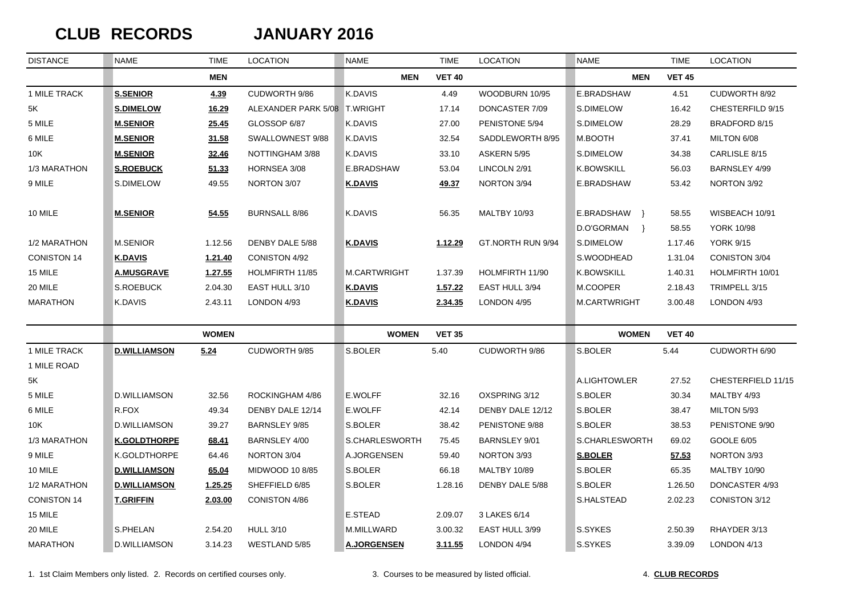## $CLUB$  **RECORDS**

## **JANUARY 2016**

| <b>DISTANCE</b>    | <b>NAME</b>         | <b>TIME</b>  | <b>LOCATION</b>              | NAME               | <b>TIME</b>   | <b>LOCATION</b>      | NAME                        | <b>TIME</b>   | <b>LOCATION</b>     |
|--------------------|---------------------|--------------|------------------------------|--------------------|---------------|----------------------|-----------------------------|---------------|---------------------|
|                    |                     | <b>MEN</b>   |                              | <b>MEN</b>         | <b>VET 40</b> |                      | <b>MEN</b>                  | <b>VET 45</b> |                     |
| 1 MILE TRACK       | <b>S.SENIOR</b>     | 4.39         | CUDWORTH 9/86                | K.DAVIS            | 4.49          | WOODBURN 10/95       | E.BRADSHAW                  | 4.51          | CUDWORTH 8/92       |
| 5K                 | <b>S.DIMELOW</b>    | 16.29        | ALEXANDER PARK 5/08 T.WRIGHT |                    | 17.14         | DONCASTER 7/09       | S.DIMELOW                   | 16.42         | CHESTERFILD 9/15    |
| 5 MILE             | <b>M.SENIOR</b>     | 25.45        | GLOSSOP 6/87                 | K.DAVIS            | 27.00         | PENISTONE 5/94       | S.DIMELOW                   | 28.29         | BRADFORD 8/15       |
| 6 MILE             | <b>M.SENIOR</b>     | 31.58        | SWALLOWNEST 9/88             | K.DAVIS            | 32.54         | SADDLEWORTH 8/95     | M.BOOTH                     | 37.41         | MILTON 6/08         |
| 10K                | <b>M.SENIOR</b>     | 32.46        | NOTTINGHAM 3/88              | K.DAVIS            | 33.10         | ASKERN 5/95          | S.DIMELOW                   | 34.38         | CARLISLE 8/15       |
| 1/3 MARATHON       | <b>S.ROEBUCK</b>    | 51.33        | HORNSEA 3/08                 | E.BRADSHAW         | 53.04         | LINCOLN 2/91         | <b>K.BOWSKILL</b>           | 56.03         | BARNSLEY 4/99       |
| 9 MILE             | S.DIMELOW           | 49.55        | NORTON 3/07                  | <b>K.DAVIS</b>     | 49.37         | NORTON 3/94          | E.BRADSHAW                  | 53.42         | NORTON 3/92         |
| 10 MILE            | <b>M.SENIOR</b>     | 54.55        | <b>BURNSALL 8/86</b>         | K.DAVIS            | 56.35         | <b>MALTBY 10/93</b>  | E.BRADSHAW }                | 58.55         | WISBEACH 10/91      |
|                    |                     |              |                              |                    |               |                      | D.O'GORMAN<br>$\rightarrow$ | 58.55         | <b>YORK 10/98</b>   |
| 1/2 MARATHON       | <b>M.SENIOR</b>     | 1.12.56      | DENBY DALE 5/88              | <b>K.DAVIS</b>     | 1.12.29       | GT.NORTH RUN 9/94    | S.DIMELOW                   | 1.17.46       | <b>YORK 9/15</b>    |
| <b>CONISTON 14</b> | <b>K.DAVIS</b>      | 1.21.40      | <b>CONISTON 4/92</b>         |                    |               |                      | S.WOODHEAD                  | 1.31.04       | CONISTON 3/04       |
| 15 MILE            | <b>A.MUSGRAVE</b>   | 1.27.55      | HOLMFIRTH 11/85              | M.CARTWRIGHT       | 1.37.39       | HOLMFIRTH 11/90      | K.BOWSKILL                  | 1.40.31       | HOLMFIRTH 10/01     |
| 20 MILE            | S.ROEBUCK           | 2.04.30      | EAST HULL 3/10               | <b>K.DAVIS</b>     | 1.57.22       | EAST HULL 3/94       | M.COOPER                    | 2.18.43       | TRIMPELL 3/15       |
| <b>MARATHON</b>    | K.DAVIS             | 2.43.11      | LONDON 4/93                  | <b>K.DAVIS</b>     | 2.34.35       | LONDON 4/95          | M.CARTWRIGHT                | 3.00.48       | LONDON 4/93         |
|                    |                     | <b>WOMEN</b> |                              | <b>WOMEN</b>       | <b>VET 35</b> |                      | <b>WOMEN</b>                | <b>VET 40</b> |                     |
| 1 MILE TRACK       | <b>D.WILLIAMSON</b> | 5.24         | CUDWORTH 9/85                | S.BOLER            | 5.40          | CUDWORTH 9/86        | S.BOLER                     | 5.44          | CUDWORTH 6/90       |
| 1 MILE ROAD        |                     |              |                              |                    |               |                      |                             |               |                     |
| 5K                 |                     |              |                              |                    |               |                      | A.LIGHTOWLER                | 27.52         | CHESTERFIELD 11/15  |
| 5 MILE             | D.WILLIAMSON        | 32.56        | ROCKINGHAM 4/86              | E.WOLFF            | 32.16         | OXSPRING 3/12        | S.BOLER                     | 30.34         | MALTBY 4/93         |
| 6 MILE             | R.FOX               | 49.34        | DENBY DALE 12/14             | E.WOLFF            | 42.14         | DENBY DALE 12/12     | S.BOLER                     | 38.47         | MILTON 5/93         |
| 10K                | D.WILLIAMSON        | 39.27        | <b>BARNSLEY 9/85</b>         | S.BOLER            | 38.42         | PENISTONE 9/88       | S.BOLER                     | 38.53         | PENISTONE 9/90      |
| 1/3 MARATHON       | <b>K.GOLDTHORPE</b> | 68.41        | <b>BARNSLEY 4/00</b>         | S.CHARLESWORTH     | 75.45         | <b>BARNSLEY 9/01</b> | S.CHARLESWORTH              | 69.02         | GOOLE 6/05          |
| 9 MILE             | K.GOLDTHORPE        | 64.46        | NORTON 3/04                  | A.JORGENSEN        | 59.40         | NORTON 3/93          | <b>S.BOLER</b>              | 57.53         | NORTON 3/93         |
| 10 MILE            | <b>D.WILLIAMSON</b> | 65.04        | MIDWOOD 10 8/85              | S.BOLER            | 66.18         | <b>MALTBY 10/89</b>  | S.BOLER                     | 65.35         | <b>MALTBY 10/90</b> |
| 1/2 MARATHON       | <b>D.WILLIAMSON</b> | 1.25.25      | SHEFFIELD 6/85               | S.BOLER            | 1.28.16       | DENBY DALE 5/88      | S.BOLER                     | 1.26.50       | DONCASTER 4/93      |
| <b>CONISTON 14</b> | <b>T.GRIFFIN</b>    | 2.03.00      | CONISTON 4/86                |                    |               |                      | S.HALSTEAD                  | 2.02.23       | CONISTON 3/12       |
| 15 MILE            |                     |              |                              | E.STEAD            | 2.09.07       | 3 LAKES 6/14         |                             |               |                     |
| 20 MILE            | S.PHELAN            | 2.54.20      | <b>HULL 3/10</b>             | M.MILLWARD         | 3.00.32       | EAST HULL 3/99       | S.SYKES                     | 2.50.39       | RHAYDER 3/13        |
| <b>MARATHON</b>    | D.WILLIAMSON        | 3.14.23      | WESTLAND 5/85                | <b>A.JORGENSEN</b> | 3.11.55       | LONDON 4/94          | S.SYKES                     | 3.39.09       | LONDON 4/13         |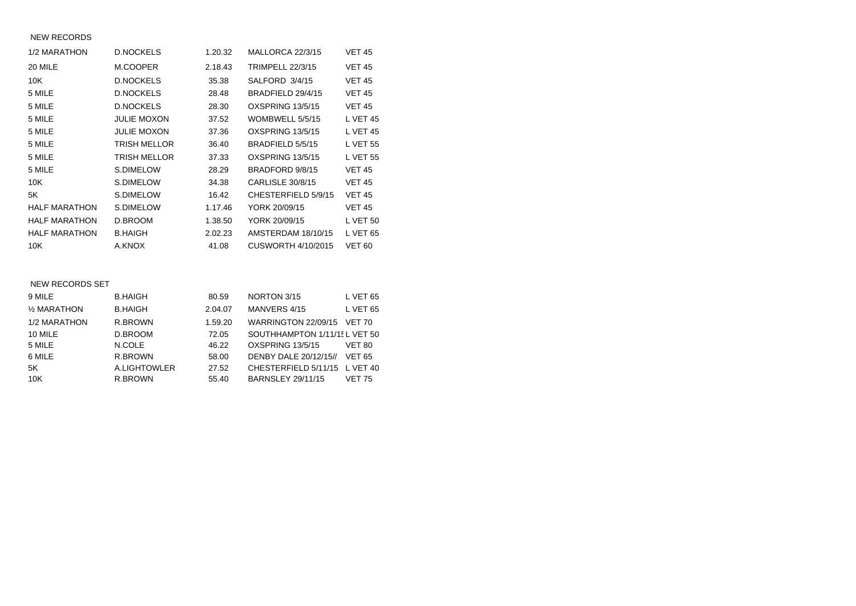#### NEW RECORDS

| 1/2 MARATHON         | <b>D.NOCKELS</b>   | 1.20.32 | MALLORCA 22/3/15        | <b>VET 45</b>   |
|----------------------|--------------------|---------|-------------------------|-----------------|
| 20 MILE              | M.COOPER           | 2.18.43 | <b>TRIMPELL 22/3/15</b> | <b>VET 45</b>   |
| 10K                  | <b>D.NOCKELS</b>   | 35.38   | SALFORD 3/4/15          | <b>VET 45</b>   |
| 5 MILE               | <b>D.NOCKELS</b>   | 28.48   | BRADFIELD 29/4/15       | <b>VET 45</b>   |
| 5 MILE               | <b>D.NOCKELS</b>   | 28.30   | OXSPRING 13/5/15        | <b>VET 45</b>   |
| 5 MILE               | <b>JULIE MOXON</b> | 37.52   | WOMBWELL 5/5/15         | <b>L VET 45</b> |
| 5 MILE               | <b>JULIE MOXON</b> | 37.36   | OXSPRING 13/5/15        | <b>L VET 45</b> |
| 5 MILE               | TRISH MELLOR       | 36.40   | BRADFIELD 5/5/15        | <b>L VET 55</b> |
| 5 MILE               | TRISH MELLOR       | 37.33   | OXSPRING 13/5/15        | <b>L VET 55</b> |
| 5 MILE               | S.DIMELOW          | 28.29   | BRADFORD 9/8/15         | <b>VET 45</b>   |
| 10K                  | S.DIMELOW          | 34.38   | <b>CARLISLE 30/8/15</b> | <b>VET 45</b>   |
| 5K                   | S.DIMELOW          | 16.42   | CHESTERFIELD 5/9/15     | <b>VET 45</b>   |
| <b>HALF MARATHON</b> | S.DIMELOW          | 1.17.46 | YORK 20/09/15           | <b>VET 45</b>   |
| <b>HALF MARATHON</b> | D.BROOM            | 1.38.50 | YORK 20/09/15           | <b>L VET 50</b> |
| <b>HALF MARATHON</b> | <b>B.HAIGH</b>     | 2.02.23 | AMSTERDAM 18/10/15      | <b>L VET 65</b> |
| 10K                  | A.KNOX             | 41.08   | CUSWORTH 4/10/2015      | <b>VET 60</b>   |

#### NEW RECORDS SET

| 9 MILE       | <b>B.HAIGH</b> | 80.59   | NORTON 3/15                   | <b>L VET 65</b> |
|--------------|----------------|---------|-------------------------------|-----------------|
| 1/2 MARATHON | <b>B.HAIGH</b> | 2.04.07 | MANVERS 4/15                  | <b>L VET 65</b> |
| 1/2 MARATHON | R.BROWN        | 1.59.20 | WARRINGTON 22/09/15           | <b>VET 70</b>   |
| 10 MILE      | D.BROOM        | 72.05   | SOUTHHAMPTON 1/11/15L VET 50  |                 |
| 5 MILE       | N.COLE         | 46.22   | <b>OXSPRING 13/5/15</b>       | <b>VET 80</b>   |
| 6 MILE       | R.BROWN        | 58.00   | DENBY DALE 20/12/15//         | <b>VET 65</b>   |
| 5K           | A.LIGHTOWLER   | 27.52   | CHESTERFIELD 5/11/15 L VET 40 |                 |
| 10K          | R.BROWN        | 55.40   | <b>BARNSLEY 29/11/15</b>      | <b>VET 75</b>   |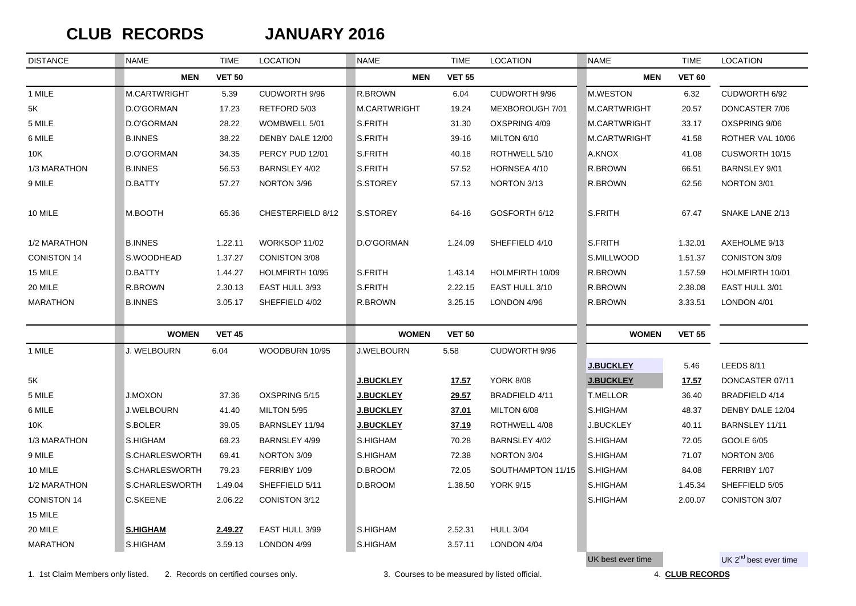## $CLUB$  **RECORDS**

#### **JANUARY 2016**

| <b>DISTANCE</b>    | <b>NAME</b>       | <b>TIME</b>   | <b>LOCATION</b>      | <b>NAME</b>       | <b>TIME</b>   | <b>LOCATION</b>   | NAME              | <b>TIME</b>   | <b>LOCATION</b>                   |
|--------------------|-------------------|---------------|----------------------|-------------------|---------------|-------------------|-------------------|---------------|-----------------------------------|
|                    | <b>MEN</b>        | <b>VET 50</b> |                      | <b>MEN</b>        | <b>VET 55</b> |                   | <b>MEN</b>        | <b>VET 60</b> |                                   |
| 1 MILE             | M.CARTWRIGHT      | 5.39          | CUDWORTH 9/96        | <b>R.BROWN</b>    | 6.04          | CUDWORTH 9/96     | <b>M.WESTON</b>   | 6.32          | CUDWORTH 6/92                     |
| 5K                 | D.O'GORMAN        | 17.23         | RETFORD 5/03         | M.CARTWRIGHT      | 19.24         | MEXBOROUGH 7/01   | M.CARTWRIGHT      | 20.57         | DONCASTER 7/06                    |
| 5 MILE             | D.O'GORMAN        | 28.22         | WOMBWELL 5/01        | S.FRITH           | 31.30         | OXSPRING 4/09     | M.CARTWRIGHT      | 33.17         | OXSPRING 9/06                     |
| 6 MILE             | <b>B.INNES</b>    | 38.22         | DENBY DALE 12/00     | S.FRITH           | 39-16         | MILTON 6/10       | M.CARTWRIGHT      | 41.58         | ROTHER VAL 10/06                  |
| 10K                | D.O'GORMAN        | 34.35         | PERCY PUD 12/01      | S.FRITH           | 40.18         | ROTHWELL 5/10     | A.KNOX            | 41.08         | CUSWORTH 10/15                    |
| 1/3 MARATHON       | <b>B.INNES</b>    | 56.53         | <b>BARNSLEY 4/02</b> | S.FRITH           | 57.52         | HORNSEA 4/10      | R.BROWN           | 66.51         | <b>BARNSLEY 9/01</b>              |
| 9 MILE             | D.BATTY           | 57.27         | NORTON 3/96          | S.STOREY          | 57.13         | NORTON 3/13       | R.BROWN           | 62.56         | NORTON 3/01                       |
| 10 MILE            | M.BOOTH           | 65.36         | CHESTERFIELD 8/12    | S.STOREY          | 64-16         | GOSFORTH 6/12     | <b>S.FRITH</b>    | 67.47         | SNAKE LANE 2/13                   |
| 1/2 MARATHON       | <b>B.INNES</b>    | 1.22.11       | WORKSOP 11/02        | D.O'GORMAN        | 1.24.09       | SHEFFIELD 4/10    | S.FRITH           | 1.32.01       | AXEHOLME 9/13                     |
| <b>CONISTON 14</b> | S.WOODHEAD        | 1.37.27       | CONISTON 3/08        |                   |               |                   | S.MILLWOOD        | 1.51.37       | CONISTON 3/09                     |
| 15 MILE            | D.BATTY           | 1.44.27       | HOLMFIRTH 10/95      | S.FRITH           | 1.43.14       | HOLMFIRTH 10/09   | R.BROWN           | 1.57.59       | HOLMFIRTH 10/01                   |
| 20 MILE            | R.BROWN           | 2.30.13       | EAST HULL 3/93       | S.FRITH           | 2.22.15       | EAST HULL 3/10    | R.BROWN           | 2.38.08       | EAST HULL 3/01                    |
| <b>MARATHON</b>    | <b>B.INNES</b>    | 3.05.17       | SHEFFIELD 4/02       | R.BROWN           | 3.25.15       | LONDON 4/96       | R.BROWN           | 3.33.51       | LONDON 4/01                       |
|                    | <b>WOMEN</b>      | <b>VET 45</b> |                      | <b>WOMEN</b>      | <b>VET 50</b> |                   | <b>WOMEN</b>      | <b>VET 55</b> |                                   |
| 1 MILE             | J. WELBOURN       | 6.04          | WOODBURN 10/95       | <b>J.WELBOURN</b> | 5.58          | CUDWORTH 9/96     |                   |               |                                   |
|                    |                   |               |                      |                   |               |                   | <b>J.BUCKLEY</b>  | 5.46          | LEEDS 8/11                        |
| 5K                 |                   |               |                      | <b>J.BUCKLEY</b>  | <u>17.57</u>  | <b>YORK 8/08</b>  | <b>J.BUCKLEY</b>  | <u>17.57</u>  | DONCASTER 07/11                   |
| 5 MILE             | <b>J.MOXON</b>    | 37.36         | OXSPRING 5/15        | <b>J.BUCKLEY</b>  | 29.57         | BRADFIELD 4/11    | <b>T.MELLOR</b>   | 36.40         | BRADFIELD 4/14                    |
| 6 MILE             | <b>J.WELBOURN</b> | 41.40         | MILTON 5/95          | <b>J.BUCKLEY</b>  | 37.01         | MILTON 6/08       | S.HIGHAM          | 48.37         | DENBY DALE 12/04                  |
| 10K                | S.BOLER           | 39.05         | BARNSLEY 11/94       | <b>J.BUCKLEY</b>  | 37.19         | ROTHWELL 4/08     | <b>J.BUCKLEY</b>  | 40.11         | BARNSLEY 11/11                    |
| 1/3 MARATHON       | S.HIGHAM          | 69.23         | BARNSLEY 4/99        | S.HIGHAM          | 70.28         | BARNSLEY 4/02     | S.HIGHAM          | 72.05         | GOOLE 6/05                        |
| 9 MILE             | S.CHARLESWORTH    | 69.41         | NORTON 3/09          | S.HIGHAM          | 72.38         | NORTON 3/04       | S.HIGHAM          | 71.07         | NORTON 3/06                       |
| 10 MILE            | S.CHARLESWORTH    | 79.23         | FERRIBY 1/09         | D.BROOM           | 72.05         | SOUTHAMPTON 11/15 | S.HIGHAM          | 84.08         | FERRIBY 1/07                      |
| 1/2 MARATHON       | S.CHARLESWORTH    | 1.49.04       | SHEFFIELD 5/11       | D.BROOM           | 1.38.50       | <b>YORK 9/15</b>  | S.HIGHAM          | 1.45.34       | SHEFFIELD 5/05                    |
| <b>CONISTON 14</b> | C.SKEENE          | 2.06.22       | CONISTON 3/12        |                   |               |                   | S.HIGHAM          | 2.00.07       | CONISTON 3/07                     |
| 15 MILE            |                   |               |                      |                   |               |                   |                   |               |                                   |
| 20 MILE            | <b>S.HIGHAM</b>   | 2.49.27       | EAST HULL 3/99       | S.HIGHAM          | 2.52.31       | <b>HULL 3/04</b>  |                   |               |                                   |
| <b>MARATHON</b>    | S.HIGHAM          | 3.59.13       | LONDON 4/99          | S.HIGHAM          | 3.57.11       | LONDON 4/04       |                   |               |                                   |
|                    |                   |               |                      |                   |               |                   | UK best ever time |               | UK 2 <sup>nd</sup> best ever time |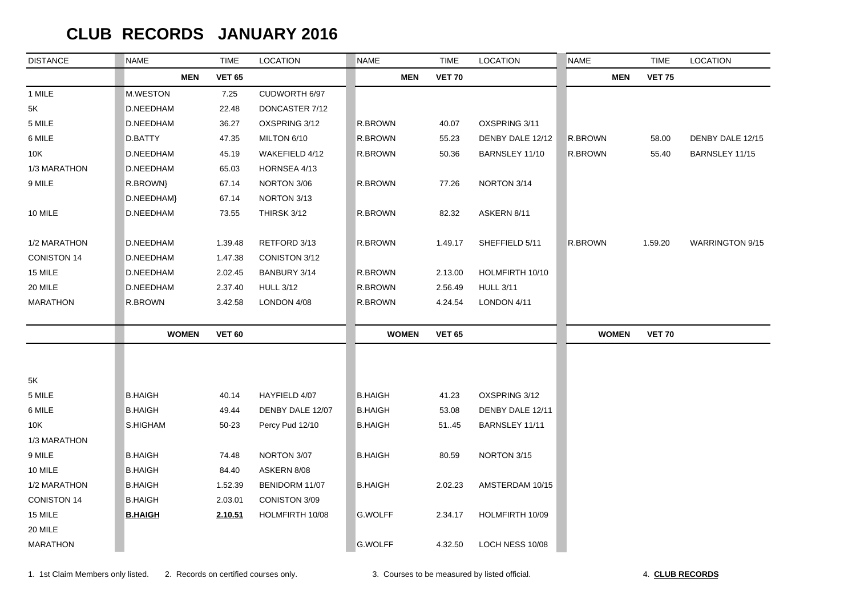## **CLUB RECORDS JANUARY 2016**

| <b>DISTANCE</b>    | <b>NAME</b>    | <b>TIME</b>   | <b>LOCATION</b>  | <b>NAME</b>    | <b>TIME</b>   | <b>LOCATION</b>  | <b>NAME</b>  | <b>TIME</b>   | <b>LOCATION</b>        |
|--------------------|----------------|---------------|------------------|----------------|---------------|------------------|--------------|---------------|------------------------|
|                    | <b>MEN</b>     | <b>VET 65</b> |                  | <b>MEN</b>     | <b>VET 70</b> |                  | <b>MEN</b>   | <b>VET 75</b> |                        |
| 1 MILE             | M.WESTON       | 7.25          | CUDWORTH 6/97    |                |               |                  |              |               |                        |
| 5K                 | D.NEEDHAM      | 22.48         | DONCASTER 7/12   |                |               |                  |              |               |                        |
| 5 MILE             | D.NEEDHAM      | 36.27         | OXSPRING 3/12    | R.BROWN        | 40.07         | OXSPRING 3/11    |              |               |                        |
| 6 MILE             | D.BATTY        | 47.35         | MILTON 6/10      | R.BROWN        | 55.23         | DENBY DALE 12/12 | R.BROWN      | 58.00         | DENBY DALE 12/15       |
| 10K                | D.NEEDHAM      | 45.19         | WAKEFIELD 4/12   | R.BROWN        | 50.36         | BARNSLEY 11/10   | R.BROWN      | 55.40         | BARNSLEY 11/15         |
| 1/3 MARATHON       | D.NEEDHAM      | 65.03         | HORNSEA 4/13     |                |               |                  |              |               |                        |
| 9 MILE             | R.BROWN}       | 67.14         | NORTON 3/06      | R.BROWN        | 77.26         | NORTON 3/14      |              |               |                        |
|                    | D.NEEDHAM}     | 67.14         | NORTON 3/13      |                |               |                  |              |               |                        |
| 10 MILE            | D.NEEDHAM      | 73.55         | THIRSK 3/12      | R.BROWN        | 82.32         | ASKERN 8/11      |              |               |                        |
| 1/2 MARATHON       | D.NEEDHAM      | 1.39.48       | RETFORD 3/13     | R.BROWN        | 1.49.17       | SHEFFIELD 5/11   | R.BROWN      | 1.59.20       | <b>WARRINGTON 9/15</b> |
| <b>CONISTON 14</b> | D.NEEDHAM      | 1.47.38       | CONISTON 3/12    |                |               |                  |              |               |                        |
| 15 MILE            | D.NEEDHAM      | 2.02.45       | BANBURY 3/14     | R.BROWN        | 2.13.00       | HOLMFIRTH 10/10  |              |               |                        |
| 20 MILE            | D.NEEDHAM      | 2.37.40       | <b>HULL 3/12</b> | R.BROWN        | 2.56.49       | <b>HULL 3/11</b> |              |               |                        |
| <b>MARATHON</b>    | R.BROWN        | 3.42.58       | LONDON 4/08      | R.BROWN        | 4.24.54       | LONDON 4/11      |              |               |                        |
|                    | <b>WOMEN</b>   | <b>VET 60</b> |                  | <b>WOMEN</b>   | <b>VET 65</b> |                  | <b>WOMEN</b> | <b>VET 70</b> |                        |
|                    |                |               |                  |                |               |                  |              |               |                        |
| $5K$               |                |               |                  |                |               |                  |              |               |                        |
| 5 MILE             | <b>B.HAIGH</b> | 40.14         | HAYFIELD 4/07    | <b>B.HAIGH</b> | 41.23         | OXSPRING 3/12    |              |               |                        |
| 6 MILE             | <b>B.HAIGH</b> | 49.44         | DENBY DALE 12/07 | <b>B.HAIGH</b> | 53.08         | DENBY DALE 12/11 |              |               |                        |
| 10K                | S.HIGHAM       | 50-23         | Percy Pud 12/10  | <b>B.HAIGH</b> | 51.45         | BARNSLEY 11/11   |              |               |                        |
| 1/3 MARATHON       |                |               |                  |                |               |                  |              |               |                        |
| 9 MILE             | <b>B.HAIGH</b> | 74.48         | NORTON 3/07      | <b>B.HAIGH</b> | 80.59         | NORTON 3/15      |              |               |                        |
| 10 MILE            | <b>B.HAIGH</b> | 84.40         | ASKERN 8/08      |                |               |                  |              |               |                        |
| 1/2 MARATHON       | <b>B.HAIGH</b> | 1.52.39       | BENIDORM 11/07   | <b>B.HAIGH</b> | 2.02.23       | AMSTERDAM 10/15  |              |               |                        |
| <b>CONISTON 14</b> | <b>B.HAIGH</b> | 2.03.01       | CONISTON 3/09    |                |               |                  |              |               |                        |
| 15 MILE            | <b>B.HAIGH</b> | 2.10.51       | HOLMFIRTH 10/08  | G.WOLFF        | 2.34.17       | HOLMFIRTH 10/09  |              |               |                        |
| 20 MILE            |                |               |                  |                |               |                  |              |               |                        |
| <b>MARATHON</b>    |                |               |                  | <b>G.WOLFF</b> | 4.32.50       | LOCH NESS 10/08  |              |               |                        |